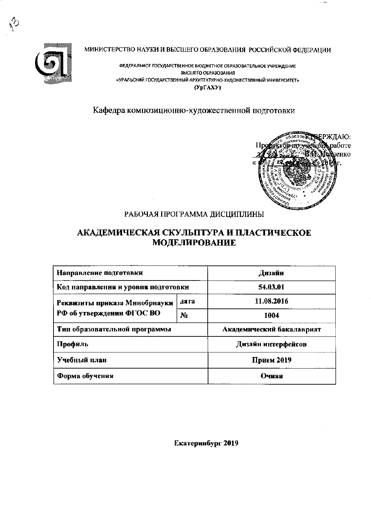

МИНИСТЕРСТВО НАУКИ И ВЫСШЕГО ОБРАЗОВАНИЯ РОССИЙСКОЙ ФЕДЕРАЦИИ

ФЕДЕРАЛЬНОЕ ГОСУДАРСТВЕННОЕ БЮДЖЕТНОЕ ОБРАЗОВАТЕЛЬНОЕ УЧРЕЖДЕНИЕ ВЫСШЕГО ОБРАЗОВАНИЯ «УРАЛЬСКИЙ ГОСУДАРСТВЕННЫЙ АРХИТЕКТУРНО-ХУДОЖЕСТВЕННЫЙ УНИВЕРСИТЕТ»  $(Yp\Gamma A X Y)$ 

Кафедра композиционно-художественной подготовки



## РАБОЧАЯ ПРОГРАММА ДИСЦИПЛИНЫ

## АКАДЕМИЧЕСКАЯ СКУЛЬПТУРА И ПЛАСТИЧЕСКОЕ **МОДЕЛИРОВАНИЕ**

| Направление подготовки              | Дизайн         |                           |  |  |
|-------------------------------------|----------------|---------------------------|--|--|
| Код направления и уровня подготовки | 54.03.01       |                           |  |  |
| Реквизиты приказа Минобрнауки       | лата           | 11.08.2016                |  |  |
| РФ об утвержденин ФГОС ВО           | N <sub>2</sub> | 1004                      |  |  |
| Тип образовательной программы       |                | Академический бакалавриат |  |  |
| Профиль                             |                | Дизайн интерфейсов        |  |  |
| Учебный план                        | Прием 2019     |                           |  |  |
| Форма обучения                      | Очиая          |                           |  |  |

Екатеринбург 2019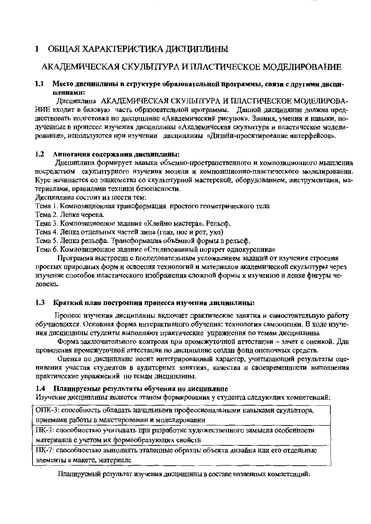#### ОБЩАЯ ХАРАКТЕРИСТИКА ДИСЦИПЛИНЫ  $\mathbf{1}$

# АКАДЕМИЧЕСКАЯ СКУЛЬПТУРА И ПЛАСТИЧЕСКОЕ МОДЕЛИРОВАНИЕ

#### $1.1$ Место дисциплины в структуре образовательной программы, связи с другими дисциплинами:

Дисциплина АКАДЕМИЧЕСКАЯ СКУЛЬГІТУРА И ПЛАСТИЧЕСКОЕ МОДЕЛИРОВА-НИЕ входит в базовую часть образовательной программы. Данной дисциплине должна предшествовать подготовка по дисциплине «Академический рисунок». Знания, умения и навыки, полученные в процессе изучения дисциплины «Академическая скульптура и пластнческое моделированне», используются при изучении дисцинлииы «Дизайи-проектирование интерфейсов».

#### $1.2$ Аннотация содержания дисциплины:

Дисциплина формирует навыки объемно-пространственного и комнозиционного мышления посредством скульптурного изучения модели и композиционно-пластического моделирования. Курс иачинается со зпакомства со скульптурной мастерской, оборудованием, ииструментами, материалами, правилами техники безопасности.

Дисцинлипа состоит из шести тем:

Тема 1. Композиционная трансформация простого геометрического тела

Тема 2. Лепка черепа.

Тема 3. Комнозиционное задание «Клеймо мастера». Рельеф.

Тема 4. Лепка отдельных частей лица (глаз, пос и рот, ухо)

Тема 5. Лепка рельефа. Трансформация объёмпой формы в рельеф.

Тема 6. Комнозиционное задание «Стнлизованиый портрет однокурсника»

Программа выстроена с последовательным усложнением заданий от изучения строения простых природных форм и освоения технологий и материалов академической скульптуры через изучение способов пластического изображения сложпой формы к изучению и лепке фигуры человека.

#### $1.3$ Краткий план построения процесса изучения дисциплины:

Процесс изучения дисциплины включает практические занятия и самостоятельную работу обучающихся. Основная форма интерактивного обучения: технология самооценки. В ходе изучеиия дисциплины студенты выполняют практические упражнения по темам дисциплины.

Форма заключительного контроля при промежуточной аттестации - зачет с оценкой. Для проведения промежуточной аттестации по днециплине создан фонд оценочных средств.

Оценка по дисциплине носнт интегрированиый характер, учитывающий результаты оценивания участня студентов в аудиторных занятиях, качества и своевременности выполнения практические упражнений по темам дисцинлипы.

#### Планируемые результаты обучения по дисциплине  $1.4$

Изучение дисциплины является этаном формирования у студента следующих компетенций:

ОПК-3: способность обладать начальными профессиональными навыками скульптора, приемами работы в макетировании и моделировании

ПК-3: способностью учитывать при разработке художественного замысла особенности материалов с учетом их формообразующих свойств

ПК-7: способностью выполнять эталонные образцы объекта дизайна или его отдельные элементы в макете, материале

Планируемый результат изучения днециплины в составе названных компетенций: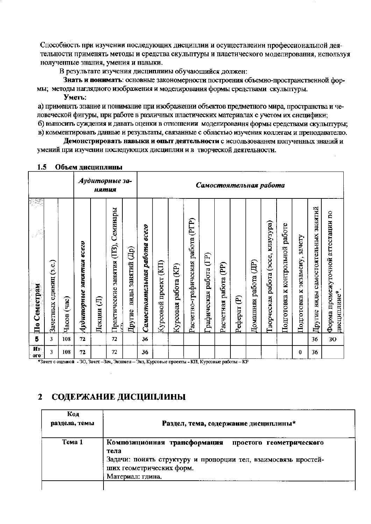Способность при изучении последующих дисциплии и осуществлении профессиональной деятельности применять методы и средства скульптуры и пластического моделирования, используя нолученные знания, умения и навыки.

В результате изучения дисциплины обучающийся должен:

Знать и понимать: основные закономерности построения объемно-пространственной формы; методы наглядного изображения и моделирования формы средствами скульптуры.

Уметь:

а) применять знание и понимание при изображении объектов предметного мира, пространства и человеческой фигуры, при работе в различных пластических материалах с учетом их снецифики;

б) выносить суждения и давать оценки в отношении моделировання формы средствами скульптуры; в) комментировать данные и результаты, связанные с областью изучения коллегам и пренодавателю.

Демонстрировать навыки и опыт деятельности с использованнем полученных знаний и умений при изучении последующих дисциплин и в творческой деятельности.

|                    |                           |                         |                                               | нятия       | Аудиторные за-                       |                                     | Самостоятельная работа       |                                    |                                 |                                |                           |                              |              |                             |                                             |                                       |                                     |                             |                                                  |
|--------------------|---------------------------|-------------------------|-----------------------------------------------|-------------|--------------------------------------|-------------------------------------|------------------------------|------------------------------------|---------------------------------|--------------------------------|---------------------------|------------------------------|--------------|-----------------------------|---------------------------------------------|---------------------------------------|-------------------------------------|-----------------------------|--------------------------------------------------|
|                    |                           |                         |                                               |             | Семинары                             |                                     |                              |                                    |                                 | (PTP)                          |                           |                              |              |                             |                                             |                                       |                                     | занятий                     |                                                  |
| Λř<br>По Семестрам | (3.e.)<br>Зачетных единиц | $(\text{vac})$<br>Часов | <b>BCCZO</b><br><b>SAHAMILA</b><br>Аудиторные | €<br>Лекции | $(III)$ ,<br>занятия<br>Практические | ु<br>स<br>занятий<br>ндды<br>Другие | Самостоятельная работа всего | $\mathbb{E}$<br>проект<br>Курсовой | $\mathbf{E}$<br>Курсовая работа | работа<br>Расчетно-графическая | работа (ГР)<br>рафическая | <b>E</b><br>Расчетная работа | E<br>Реферат | <b>食</b><br>Домашняя работа | клаузура)<br>(acce,<br>работа<br>Гворческая | работе<br>контрольной<br>Подготовка к | зачету<br>экзамену,<br>Подготовка к | Другие виды самостоятельных | Форма промежуточной аггестации по<br>дисциплине* |
| 5                  | 3                         | 108                     | 72                                            |             | 72                                   |                                     | 36                           |                                    |                                 |                                |                           |                              |              |                             |                                             |                                       |                                     | 36                          | 30                                               |
| Ит<br>ого∵         | 3                         | 108                     | 72                                            |             | 72                                   |                                     | 36                           |                                    |                                 |                                |                           |                              |              |                             |                                             |                                       | 0                                   | 36                          |                                                  |

#### $1.5$ Объем дисциплины

\*Зачет с оценкой - ЗО, Зачет -Зач, Экзамен - Экз, Курсовые проекты - КП, Курсовые работы - КР

#### СОДЕРЖАНИЕ ДИСЦИПЛИНЫ  $\mathbf{2}$

| Код<br>раздела, темы | Раздел, тема, содержание дисциплины*                                                                                                                                            |
|----------------------|---------------------------------------------------------------------------------------------------------------------------------------------------------------------------------|
| Тема 1               | Композиционная трансформация простого геометрического<br>тела<br>Задачи: поиять структуру и пропорции тел, взаимосвязь нростей-<br>ших геометрических форм.<br>Материал: глина. |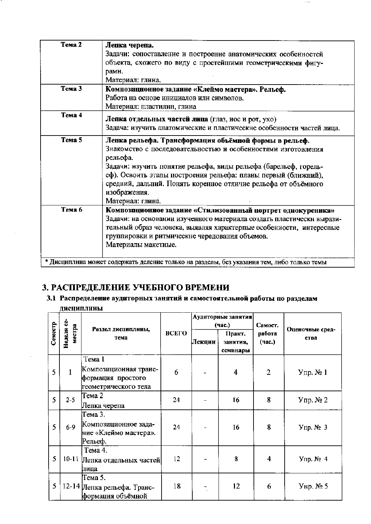| Тема 2 | Лепка черепа.                                                                              |
|--------|--------------------------------------------------------------------------------------------|
|        | Задачи: сопоставление и построение анатомических особенностей                              |
|        | объекта, схожего по виду с простейшими геометрическими фигу-                               |
|        | рами.                                                                                      |
|        | Материал: глина.                                                                           |
| Тема 3 | Композиционное заданне «Клеймо мастера». Рельеф.                                           |
|        | Работа на основе инициалов или символов.                                                   |
|        | Материал: пластилин, глина                                                                 |
| Тема 4 |                                                                                            |
|        | Лепка отдельных частей лица (глаз, иос и рот, ухо)                                         |
|        | Задача: изучить анатомические и пластические особенности частей лица.                      |
| Тема 5 | Лепка рельефа. Трансформация объёмной формы в рельеф.                                      |
|        | Знакомство с последовательностью и особенностями изготовления                              |
|        | рельефа.                                                                                   |
|        | Задачи: изучить понятие рельефа, виды рельефа (барельеф, горель-                           |
|        | еф). Освоить этапы построения рельефа: планы первый (ближний),                             |
|        | средний, дальний. Понять коренное отличие рельефа от объёмного                             |
|        | изображения.                                                                               |
|        | Материал: глина.                                                                           |
| Тема б | Композиционное задание «Стилизованный портрет однокурсника»                                |
|        | Задачи: на основании изученного материала создать пластическн вырази-                      |
|        | тельный образ человека, выявляя характерпые особениости, интересные                        |
|        | группировки и ритмические чередования объемов.                                             |
|        | Материалы макетиые.                                                                        |
|        |                                                                                            |
|        | * Дисциплина может содержать деление только на разделы, без указания тем, либо только темы |
|        |                                                                                            |

 $\cdot$   $-$ 

# 3. РАСПРЕДЕЛЕНИЕ УЧЕБНОГО ВРЕМЕНИ

## 3.1 Распределение аудиторных занятий и самостоятельной работы по разделам дисциплины

|         |                      |                                                                              |       |        | Аудиторные занятия<br>(час.)   | Самост.          | Оценочные сред-<br>ства |  |
|---------|----------------------|------------------------------------------------------------------------------|-------|--------|--------------------------------|------------------|-------------------------|--|
| Семестр | Неделя се-<br>местра | Раздел дисциплины,<br>тема                                                   | ВСЕГО | Лекции | Практ.<br>занятия.<br>семинары | работа<br>(час.) |                         |  |
| 5       | $\mathbf{1}$         | Tема 1<br>Композиционная транс-<br>формация простого<br>геометрического тела | 6     |        | 4                              | $\overline{2}$   | $Y$ пр. № 1             |  |
| 5       | $2 - 5$              | Тема 2<br>Лепка черепа                                                       | 24    |        | 16                             | 8                | $Y$ пр. № 2             |  |
| 5       | $6-9$                | Тема 3.<br>Композиционное зада-<br>ние «Клеймо мастера».<br>Рельеф.          | 24    |        | 16                             | 8                | $Y$ пр. № 3             |  |
| 5       | $10 - 11$            | Тема 4.<br>Лепка отдельных частей <br>лица                                   | 12    |        | 8                              | 4                | Упр. № 4                |  |
| 5       |                      | Тема 5.<br>12-14 Лепка рельефа. Транс-<br>формация объёмной                  | 18    |        | 12                             | 6                | $YHP$ . № 5             |  |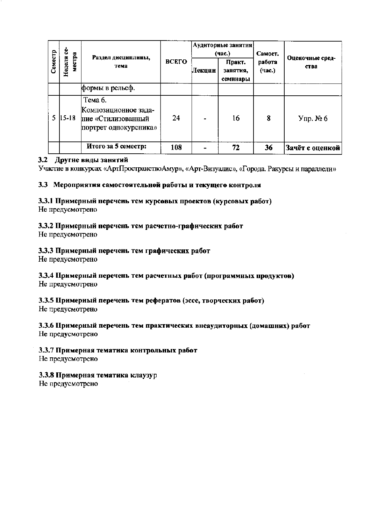|                   | 8          | Раздел дисциплины,<br>тема                                                     |              |        | Аудиторные занятия<br>(час.)   | Самост.          | Оценочные сред- |
|-------------------|------------|--------------------------------------------------------------------------------|--------------|--------|--------------------------------|------------------|-----------------|
| Семестр<br>Неделя | местра     |                                                                                | <b>ВСЕГО</b> | Лекции | Практ.<br>занятия,<br>семинары | работа<br>(час.) | ства            |
|                   |            | формы в рельеф.                                                                |              |        |                                |                  |                 |
|                   | $5 15-18 $ | Тема 6.<br>Композиционное зада-<br>ние «Стилизованный<br>портрет однокурсника» | 24           |        | 16                             | 8                | Упр. № 6        |
|                   |            | Итого за 5 семестр:                                                            | 108          |        | 72                             | 36               | Зачёт с оценкой |

#### 3.2 Другие виды занятий

Участие в конкурсах «АртПространствоАмур», «Арт-Визуалис», «Города. Ракурсы и параллели»

#### 3.3 Мероприятия самостоятельной работы и текущего контроля

#### 3.3.1 Примерный перечень тем курсовых проектов (курсовых работ)

Не предусмотрено

### 3.3.2 Примерный перечень тем расчетно-графических работ

Не предусмотрено

### 3.3.3 Примерный перечень тем графических работ

Не предусмотрено

# 3.3.4 Примерный перечень тем расчетных работ (программных продуктов)

Не предусмотрено

### 3.3.5 Примериый перечень тем рефератов (эссе, творческих работ)

Не предусмотрено

# 3.3.6 Примерный перечень тем практических внеаудиторных (домашних) работ

Не предусмотрено

### 3.3.7 Примерная тематика контрольных работ

Не предусмотрено

#### 3.3.8 Примерная тематика клаузур

Не предусмотрено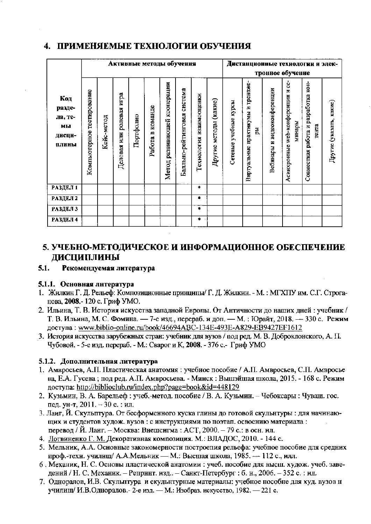## 4. ПРИМЕНЯЕМЫЕ ТЕХНОЛОГИИ ОБУЧЕНИЯ

|                                                   |                              | Активные методы обучения |                             |           |                  |                                 |                             |                         |                       |                          |                                              |                                   |                                                 | Дистанционные технологии и элек-             |                         |
|---------------------------------------------------|------------------------------|--------------------------|-----------------------------|-----------|------------------|---------------------------------|-----------------------------|-------------------------|-----------------------|--------------------------|----------------------------------------------|-----------------------------------|-------------------------------------------------|----------------------------------------------|-------------------------|
|                                                   |                              |                          |                             |           |                  |                                 |                             |                         |                       |                          |                                              |                                   | тронное обучение                                |                                              |                         |
| Код<br>разде-<br>ла, те-<br>мы<br>ДИСЦИ-<br>плины | тестирование<br>Компьютерное | Кейс-метод               | ролевая игра<br>Деловая нли | Портфолно | Работа в команде | развивающей кооперации<br>Метод | Балльно-рейтинговая система | Технология взаимооценки | Другие методы (какие) | учебные курсы<br>Сетевые | тренаже-<br>практикумы и<br>짐<br>Виртуальные | видеоконференции<br>z<br>Вебинары | ģ<br>×<br>Асинхронные web-коиференции<br>минары | Совместная работа и разработка кон-<br>тента | Другие (указать, какие) |
| РАЗДЕЛ 1                                          |                              |                          |                             |           |                  |                                 |                             | $\ast$                  |                       |                          |                                              |                                   |                                                 |                                              |                         |
| РАЗДЕЛ 2                                          |                              |                          |                             |           |                  |                                 |                             | ۰                       |                       |                          |                                              |                                   |                                                 |                                              |                         |
| РАЗДЕЛ З                                          |                              |                          |                             |           |                  |                                 |                             | *                       |                       |                          |                                              |                                   |                                                 |                                              |                         |
| РАЗДЕЛ 4                                          |                              |                          |                             |           |                  |                                 |                             | *                       |                       |                          |                                              |                                   |                                                 |                                              |                         |

# 5. УЧЕБНО-МЕТОДИЧЕСКОЕ И ИНФОРМАЦИОННОЕ ОБЕСПЕЧЕНИЕ ДИСЦИПЛИНЫ

#### 5.1. Рекомендуемая литература

### 5.1.1. Основная литература

- 1. Жилкин Г. Д. Рельеф: Композиционные принципы/ Г. Д. Жилкин. М. : МГХПУ им. С.Г. Строганова, 2008.- 120 с. Гриф УМО.
- 2. Ильина, Т. В. История искусства западной Европы. От Античности до наших дней: учебник / Т. В. Ильина, М. С. Фомина. - 7-е изд., перераб. и доп. - М. : Юрайт, 2018. - 330 с. Режим доступа: www.biblio-online.ru/book/46694ABC-134E-493E-A829-EB9427EF1612
- 3. История искусства зарубежных стран: учебник для вузов / под ред. М. В. Доброклонского, А. П. Чубовой. - 5-е изд. перераб. - М.: Сварог и К. 2008. - 376 с. - Грнф УМО

### 5.1.2. Дополнительная литература

- 1. Амвросьев, А.П. Пластическая анатомия: учебное пособие / А.П. Амвросьев, С.П. Амвросье ва, Е.А. Гусева; под ред. А.П. Амвросьева. - Минск: Вышэйшая школа, 2015. - 168 с. Режим доступа: http://biblioclub.ru/index.php?page=book&id=448129
- 2. Кузьмин, В. А. Барельеф: учеб.-метод. пособие / В. А. Кузьмин. Чебоксары: Чуваш. гос. пед. ун-т, 2011. - 30 с. : ил.
- 3. Лаиг, Й. Скульптура. От бесформенного куска глины до готовой скульнтуры : для начинающих и студентов худож. вузов: с инструкциями по поэтап. освоению материала: перевод / Й. Ланг. - Москва: Внешсигма: АСТ, 2000. - 79 с.: в осн. ил.
- 4. Логвиненко Г. М. Декоративная композиция. М.: ВЛАДОС, 2010. 144 с.
- 5. Мельник, А.А. Основные закономерности построепия рельефа: учебное пособие для средних проф.-техн. училнш/ А.А.Мельник - М.: Высшая школа, 1985. - 112 с., илл.
- 6. Механик, Н. С. Основы пластической анатомии: учеб. пособие для высш. худож. учеб. заведений / Н. С. Механик. - Репрннт. изд.. - Санкт-Петербург : б. н., 2006. - 352 с. : ил.
- 7. Одноралов, И.В. Скульптура и скульнтурные материалы: учебное нособне для худ. вузов н училищ/ И.В.Одноралов.- 2-е изд. - М.: Изобраз. искусство, 1982. - 221 с.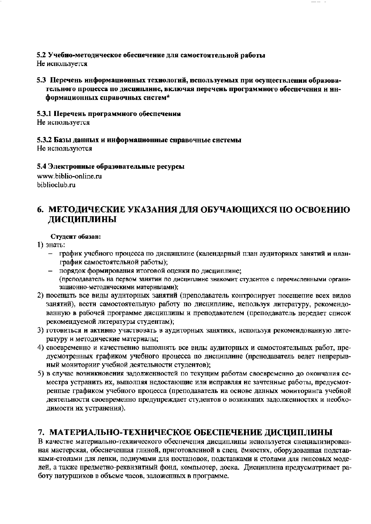### 5.2 Учебно-методическое обеспечение для самостоятельной работы Не используется

- 5.3 Перечень информационных технологий, используемых при осуществлении образовательного процесса по дисциплине, включая перечень программного обеспечения и информационных справочных систем\*
- 5.3.1 Перечень программного обеспечения

Не используется

## 5.3.2 Базы данных и информационные справочные системы

Не используются

### 5.4 Электронные образовательные ресурсы

www.biblio-online.ru biblioclub.ru

## 6. МЕТОДИЧЕСКИЕ УКАЗАНИЯ ДЛЯ ОБУЧАЮЩИХСЯ ПО ОСВОЕНИЮ ДИСЦИПЛИНЫ

### Студент обязан:

1) знать:

- график учебного процесса по дисциплине (календарный план аудиториых занятий и планграфик самостоятельной работы);
- порядок формирования итоговой оценки по дисциплине; (преподаватель на первом занятии по дисциплине знакомит студентов с перечисленными организационно-методическими материалами);
- 2) посещать все виды аудиторных занятий (преподаватель контролирует посещение всех видов занятий), вести самостоятельную работу по дисциплине, используя литературу, рекомендованную в рабочей программе дисциплины и преподавателем (преподаватель передает список рекомендуемой литературы студентам);
- 3) готовиться и активно участвовать в аудиторных занятиях, используя рекомендованиую литературу и методические материалы;
- 4) своевременно и качественио выполнять все виды аудиторных и самостоятельных работ, предусмотренных графиком учебного процесса по дисциплине (пренодаватель ведет непрерывный мониторииг учебной деятельности студентов);
- 5) в случае возникновения задолженностей по текущим работам своевременно до окончания семестра устранить их, выполняя недостающие или исправляя не зачтенные работы, предусмотренпые графиком учебного процесса (преподаватель на основе данных моииторинга учебной деятельности своевременно предупреждает студентов о возиикших задолженностях и необходимости их устранения).

# 7. МАТЕРИАЛЬНО-ТЕХНИЧЕСКОЕ ОБЕСПЕЧЕНИЕ ДИСЦИПЛИНЫ

В качестве материально-технического обеспечения дисциплины иснользуется снециализированная мастерская, обеснечеппая глиной, приготовленной в спец. ёмкостях, оборудованная подставками-столами для лепки, подиумами для постановок, подставками и столами для гипсовых моделей, а также предметно-реквизитный фонд, компьютер, доска. Дисциплина предусматривает работу патурщиков в объеме часов, заложепных в программе.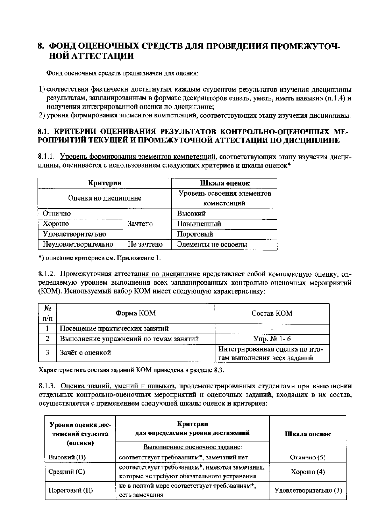# 8. ФОНД ОЦЕНОЧНЫХ СРЕДСТВ ДЛЯ ПРОВЕДЕНИЯ ПРОМЕЖУТОЧ-**НОЙ АТТЕСТАЦИИ**

Фонд оценочных средств предназначен для оценки:

- 1) соответствия фактически достигнутых каждым студентом результатов изучения дисциплины результатам, запланированным в формате дескрипторов «знать, уметь, иметь навыки» (п.1.4) и нолучения интегрированной оценки по дисциплине:
- 2) уровня формирования элементов компетенций, соответствующих этапу изучения дисциплины.

### 8.1. КРИТЕРИИ ОЦЕНИВАНИЯ РЕЗУЛЬТАТОВ КОНТРОЛЬНО-ОШЕНОЧНЫХ МЕ-РОПРИЯТИЙ ТЕКУЩЕЙ И ПРОМЕЖУТОЧНОЙ АТТЕСТАЦИИ ПО ДИСЦИПЛИНЕ

8.1.1. Уровень формирования элементов компетенций, соответствующих этапу изучения дисциплины, оценнвается с иснользованием следующих критериев и шкалы оценок\*

| Критерии             | Шкала оценок                              |            |  |  |
|----------------------|-------------------------------------------|------------|--|--|
| Оценка но дисциплине | Уровень освоения элементов<br>комнетенций |            |  |  |
| Отлично              |                                           | Высокий    |  |  |
| Хорошо               | Зачтено                                   | Повышенный |  |  |
| Удовлетворительно    | Пороговый                                 |            |  |  |
| Неудовлетворительно  | Элементы не освоены                       |            |  |  |

\*) описание критериев см. Приложение 1.

8.1.2. Промежуточная аттестация по дисциплине нредставляет собой комплексную оценку, определяемую уровнем выполнения всех запланированных контрольно-оценочных мероприятий (КОМ). Иснользуемый набор КОМ имеет следующую характеристнку:

| No<br>$\Pi/\Pi$ | Форма КОМ                              | Состав КОМ                                                    |
|-----------------|----------------------------------------|---------------------------------------------------------------|
|                 | Посещение практических занятий         |                                                               |
| ີ               | Выполнение упражнений по темам занятий | Упр. № 1-6                                                    |
|                 | Зачёт с оценкой                        | Интегрнрованная оценка но ито-<br>гам выполнения всех заданий |

Характеристика состава заданий КОМ приведена в разделе 8.3.

8.1.3. Оценка знаний, умений н навыков, продемонстрированных студентами при выполнении отдельных контрольно-оценочных мероприятий и оценочных заданий, входящих в их состав, осуществляется с применением следующей шкалы оценок и критериев:

| Уровни оценки дос-<br>тижений студента<br>(оценки) | Критерии<br>для определения уровня достижений<br>Выполненное оценочное задание:               | Шкала оценок          |
|----------------------------------------------------|-----------------------------------------------------------------------------------------------|-----------------------|
| Высокий (В)                                        | соответствует требованиям*, замечаний нет                                                     | Отлично (5)           |
| Средний (С)                                        | соответствует требованиям*, имеются замечания,<br>которые не требуют обязательного устранения | Хорошо $(4)$          |
| Пороговый (П)                                      | не в полной мере соответствует требованиям*,<br>есть замечания                                | Удовлетворительно (3) |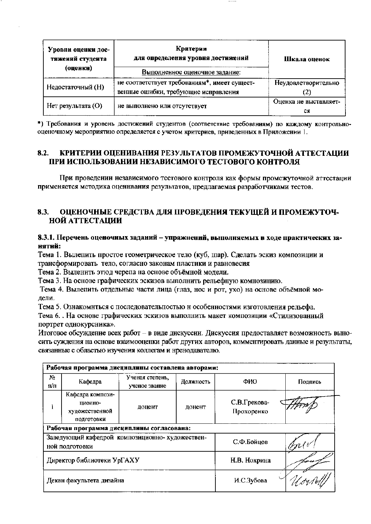| Уровни оценки дос-<br>тижений студента | Критерии<br>для определения уровня достижений                                        | Шкала оценок                |  |  |
|----------------------------------------|--------------------------------------------------------------------------------------|-----------------------------|--|--|
| (оценки)                               | Выполненное оценочное задание:                                                       |                             |  |  |
| Недостаточный (Н)                      | не соответствует требованиям*, имеет сущест-<br>венные ошибки, требующие исправления | Неудовлетворительно         |  |  |
| Нет результата (O)                     | не выполнено или отсутствует                                                         | Оценка не выставляет-<br>CЯ |  |  |

\*) Требования и уровень достижений студентов (соответствие требованиям) по каждому контрольнооценочному мероприятию определяется с учетом критериев, приведенных в Приложении 1.

#### 8.2. КРИТЕРИИ ОЦЕНИВАНИЯ РЕЗУЛЬТАТОВ ПРОМЕЖУТОЧНОЙ АТТЕСТАЦИИ ПРИ ИСПОЛЬЗОВАНИИ НЕЗАВИСИМОГО ТЕСТОВОГО КОНТРОЛЯ

При проведении независимого тестового контроля как формы промежуточной аттестации применяется методика оценнвания результатов, нредлагаемая разработчиками тестов.

#### ОЦЕНОЧНЫЕ СРЕДСТВА ДЛЯ ПРОВЕДЕНИЯ ТЕКУШЕЙ И ПРОМЕЖУТОЧ-8.3. **НОЙ АТТЕСТАЦИИ**

### 8.3.1. Перечень оценочных заданий - упражнений, выполняемых в ходе практических за-**ИЯТИЙ:**

Тема 1. Вылепить простое геометрическое тело (куб, шар). Сделать эскиз композиции и трансформировать тело, согласно законам пластики и равновесия

Тема 2. Выленить этюд черепа на основе объёмной модели.

Тема 3. На основе графических эскизов выполнить рельефную комнозицию.

Тема 4. Вылепить отдельные части лица (глаз, нос и рот, ухо) на основе объёмной модели.

Тема 5. Ознакомнться с последовательностью н особенностями изготовления рельефа.

Тема 6. . На основе графических эскизов выполнить макет композиции «Стилизованный портрет однокурсника».

Итоговое обсуждение всех работ - в виде дискуссии. Дискуссия предоставляет возможность выносить суждения на основе взаимооценки работ других авторов, комментировать данные и результаты, связанные с областью изучения коллегам и нренодавателю.

|            | Рабочая программа дисциплины составлена авторами:                 |                                  |              |                            |         |  |  |  |  |  |
|------------|-------------------------------------------------------------------|----------------------------------|--------------|----------------------------|---------|--|--|--|--|--|
| No.<br>п/п | Кафедра                                                           | Ученая степень,<br>ученое звание | Должность    | ФИО                        | Подпись |  |  |  |  |  |
|            | Кафедра компози-<br>ционно-<br>художественной<br>подготовки       | доцент                           | донент       | С.В.Грекова-<br>Прохоренко |         |  |  |  |  |  |
|            | Рабочая программа дисциплины согласована:                         |                                  |              |                            |         |  |  |  |  |  |
|            | Заведующий кафедрой композиционно- художествен-<br>ной подготовки |                                  |              | С.Ф.Бойцов                 |         |  |  |  |  |  |
|            | Директор библиотеки УрГАХУ                                        |                                  | Н.В. Нохрина |                            |         |  |  |  |  |  |
|            | Декан факультета дизайна                                          |                                  | И.С.Зубова   |                            |         |  |  |  |  |  |